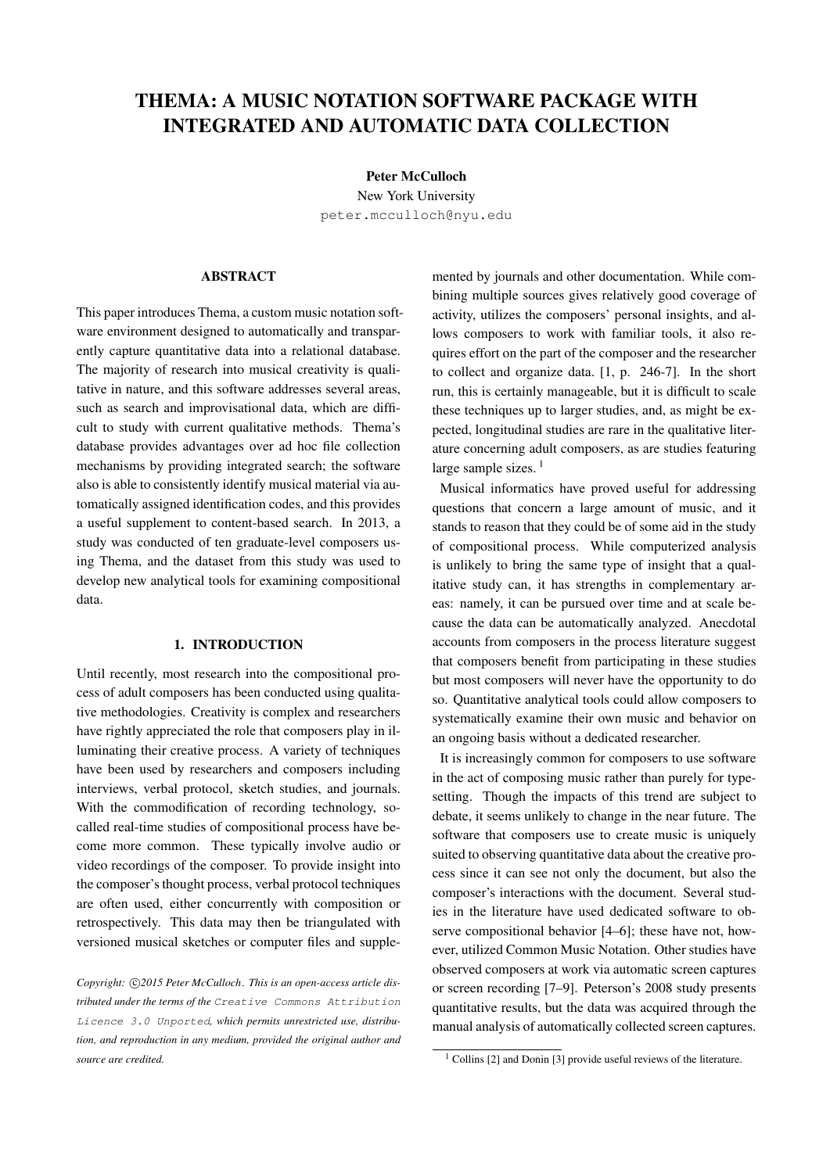# THEMA: A MUSIC NOTATION SOFTWARE PACKAGE WITH INTEGRATED AND AUTOMATIC DATA COLLECTION

Peter McCulloch

New York University [peter.mcculloch@nyu.edu](mailto:peter.mcculloch@nyu.edu)

## ABSTRACT

This paper introduces Thema, a custom music notation software environment designed to automatically and transparently capture quantitative data into a relational database. The majority of research into musical creativity is qualitative in nature, and this software addresses several areas, such as search and improvisational data, which are difficult to study with current qualitative methods. Thema's database provides advantages over ad hoc file collection mechanisms by providing integrated search; the software also is able to consistently identify musical material via automatically assigned identification codes, and this provides a useful supplement to content-based search. In 2013, a study was conducted of ten graduate-level composers using Thema, and the dataset from this study was used to develop new analytical tools for examining compositional data.

#### 1. INTRODUCTION

Until recently, most research into the compositional process of adult composers has been conducted using qualitative methodologies. Creativity is complex and researchers have rightly appreciated the role that composers play in illuminating their creative process. A variety of techniques have been used by researchers and composers including interviews, verbal protocol, sketch studies, and journals. With the commodification of recording technology, socalled real-time studies of compositional process have become more common. These typically involve audio or video recordings of the composer. To provide insight into the composer's thought process, verbal protocol techniques are often used, either concurrently with composition or retrospectively. This data may then be triangulated with versioned musical sketches or computer files and supple-

Copyright:  $\bigcirc$ 2015 Peter McCulloch. This is an open-access article dis*tributed under the terms of the* [Creative Commons Attribution](http://creativecommons.org/licenses/by/3.0/) [Licence 3.0 Unported](http://creativecommons.org/licenses/by/3.0/)*, which permits unrestricted use, distribution, and reproduction in any medium, provided the original author and source are credited.*

mented by journals and other documentation. While combining multiple sources gives relatively good coverage of activity, utilizes the composers' personal insights, and allows composers to work with familiar tools, it also requires effort on the part of the composer and the researcher to collect and organize data. [\[1,](#page-5-0) p. 246-7]. In the short run, this is certainly manageable, but it is difficult to scale these techniques up to larger studies, and, as might be expected, longitudinal studies are rare in the qualitative literature concerning adult composers, as are studies featuring large sample sizes. $<sup>1</sup>$  $<sup>1</sup>$  $<sup>1</sup>$ </sup>

Musical informatics have proved useful for addressing questions that concern a large amount of music, and it stands to reason that they could be of some aid in the study of compositional process. While computerized analysis is unlikely to bring the same type of insight that a qualitative study can, it has strengths in complementary areas: namely, it can be pursued over time and at scale because the data can be automatically analyzed. Anecdotal accounts from composers in the process literature suggest that composers benefit from participating in these studies but most composers will never have the opportunity to do so. Quantitative analytical tools could allow composers to systematically examine their own music and behavior on an ongoing basis without a dedicated researcher.

It is increasingly common for composers to use software in the act of composing music rather than purely for typesetting. Though the impacts of this trend are subject to debate, it seems unlikely to change in the near future. The software that composers use to create music is uniquely suited to observing quantitative data about the creative process since it can see not only the document, but also the composer's interactions with the document. Several studies in the literature have used dedicated software to observe compositional behavior [\[4–](#page-5-1)[6\]](#page-5-2); these have not, however, utilized Common Music Notation. Other studies have observed composers at work via automatic screen captures or screen recording [\[7–](#page-5-3)[9\]](#page-5-4). Peterson's 2008 study presents quantitative results, but the data was acquired through the manual analysis of automatically collected screen captures.

<span id="page-0-0"></span> $1$  Collins [\[2\]](#page-5-5) and Donin [\[3\]](#page-5-6) provide useful reviews of the literature.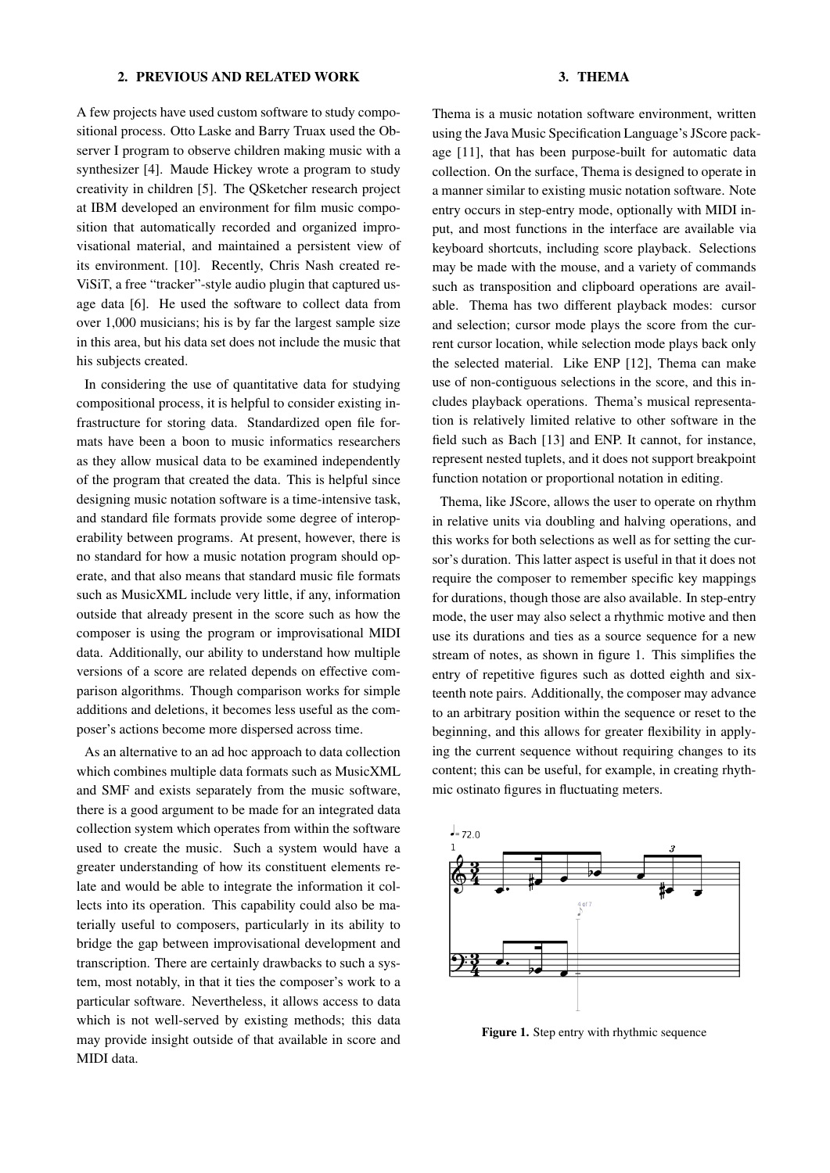#### 2. PREVIOUS AND RELATED WORK

A few projects have used custom software to study compositional process. Otto Laske and Barry Truax used the Observer I program to observe children making music with a synthesizer [\[4\]](#page-5-1). Maude Hickey wrote a program to study creativity in children [\[5\]](#page-5-7). The QSketcher research project at IBM developed an environment for film music composition that automatically recorded and organized improvisational material, and maintained a persistent view of its environment. [\[10\]](#page-5-8). Recently, Chris Nash created re-ViSiT, a free "tracker"-style audio plugin that captured usage data [\[6\]](#page-5-2). He used the software to collect data from over 1,000 musicians; his is by far the largest sample size in this area, but his data set does not include the music that his subjects created.

In considering the use of quantitative data for studying compositional process, it is helpful to consider existing infrastructure for storing data. Standardized open file formats have been a boon to music informatics researchers as they allow musical data to be examined independently of the program that created the data. This is helpful since designing music notation software is a time-intensive task, and standard file formats provide some degree of interoperability between programs. At present, however, there is no standard for how a music notation program should operate, and that also means that standard music file formats such as MusicXML include very little, if any, information outside that already present in the score such as how the composer is using the program or improvisational MIDI data. Additionally, our ability to understand how multiple versions of a score are related depends on effective comparison algorithms. Though comparison works for simple additions and deletions, it becomes less useful as the composer's actions become more dispersed across time.

As an alternative to an ad hoc approach to data collection which combines multiple data formats such as MusicXML and SMF and exists separately from the music software, there is a good argument to be made for an integrated data collection system which operates from within the software used to create the music. Such a system would have a greater understanding of how its constituent elements relate and would be able to integrate the information it collects into its operation. This capability could also be materially useful to composers, particularly in its ability to bridge the gap between improvisational development and transcription. There are certainly drawbacks to such a system, most notably, in that it ties the composer's work to a particular software. Nevertheless, it allows access to data which is not well-served by existing methods; this data may provide insight outside of that available in score and MIDI data.

# 3. THEMA

Thema is a music notation software environment, written using the Java Music Specification Language's JScore package [\[11\]](#page-5-9), that has been purpose-built for automatic data collection. On the surface, Thema is designed to operate in a manner similar to existing music notation software. Note entry occurs in step-entry mode, optionally with MIDI input, and most functions in the interface are available via keyboard shortcuts, including score playback. Selections may be made with the mouse, and a variety of commands such as transposition and clipboard operations are available. Thema has two different playback modes: cursor and selection; cursor mode plays the score from the current cursor location, while selection mode plays back only the selected material. Like ENP [\[12\]](#page-5-10), Thema can make use of non-contiguous selections in the score, and this includes playback operations. Thema's musical representation is relatively limited relative to other software in the field such as Bach [\[13\]](#page-5-11) and ENP. It cannot, for instance, represent nested tuplets, and it does not support breakpoint function notation or proportional notation in editing.

Thema, like JScore, allows the user to operate on rhythm in relative units via doubling and halving operations, and this works for both selections as well as for setting the cursor's duration. This latter aspect is useful in that it does not require the composer to remember specific key mappings for durations, though those are also available. In step-entry mode, the user may also select a rhythmic motive and then use its durations and ties as a source sequence for a new stream of notes, as shown in figure [1.](#page-1-0) This simplifies the entry of repetitive figures such as dotted eighth and sixteenth note pairs. Additionally, the composer may advance to an arbitrary position within the sequence or reset to the beginning, and this allows for greater flexibility in applying the current sequence without requiring changes to its content; this can be useful, for example, in creating rhythmic ostinato figures in fluctuating meters.

<span id="page-1-0"></span>

Figure 1. Step entry with rhythmic sequence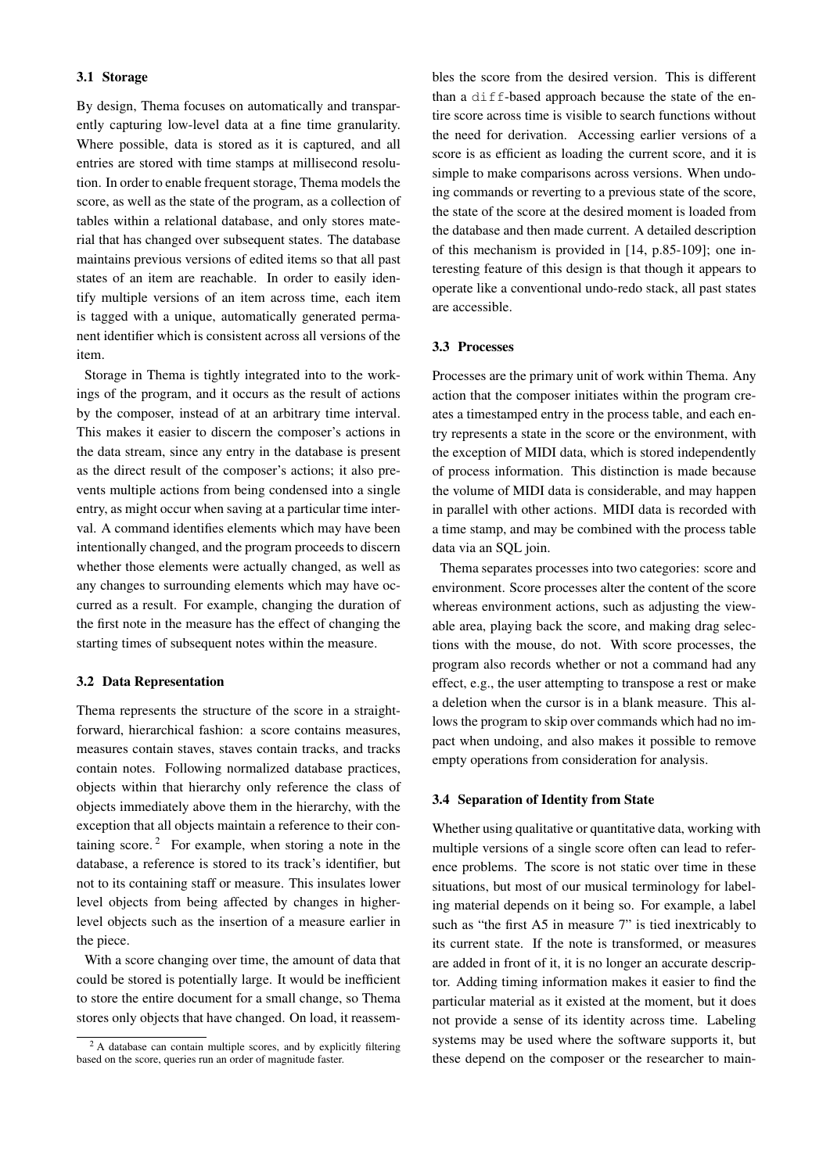# 3.1 Storage

By design, Thema focuses on automatically and transparently capturing low-level data at a fine time granularity. Where possible, data is stored as it is captured, and all entries are stored with time stamps at millisecond resolution. In order to enable frequent storage, Thema models the score, as well as the state of the program, as a collection of tables within a relational database, and only stores material that has changed over subsequent states. The database maintains previous versions of edited items so that all past states of an item are reachable. In order to easily identify multiple versions of an item across time, each item is tagged with a unique, automatically generated permanent identifier which is consistent across all versions of the item.

Storage in Thema is tightly integrated into to the workings of the program, and it occurs as the result of actions by the composer, instead of at an arbitrary time interval. This makes it easier to discern the composer's actions in the data stream, since any entry in the database is present as the direct result of the composer's actions; it also prevents multiple actions from being condensed into a single entry, as might occur when saving at a particular time interval. A command identifies elements which may have been intentionally changed, and the program proceeds to discern whether those elements were actually changed, as well as any changes to surrounding elements which may have occurred as a result. For example, changing the duration of the first note in the measure has the effect of changing the starting times of subsequent notes within the measure.

#### 3.2 Data Representation

Thema represents the structure of the score in a straightforward, hierarchical fashion: a score contains measures, measures contain staves, staves contain tracks, and tracks contain notes. Following normalized database practices, objects within that hierarchy only reference the class of objects immediately above them in the hierarchy, with the exception that all objects maintain a reference to their con-taining score.<sup>[2](#page-2-0)</sup> For example, when storing a note in the database, a reference is stored to its track's identifier, but not to its containing staff or measure. This insulates lower level objects from being affected by changes in higherlevel objects such as the insertion of a measure earlier in the piece.

With a score changing over time, the amount of data that could be stored is potentially large. It would be inefficient to store the entire document for a small change, so Thema stores only objects that have changed. On load, it reassembles the score from the desired version. This is different than a diff-based approach because the state of the entire score across time is visible to search functions without the need for derivation. Accessing earlier versions of a score is as efficient as loading the current score, and it is simple to make comparisons across versions. When undoing commands or reverting to a previous state of the score, the state of the score at the desired moment is loaded from the database and then made current. A detailed description of this mechanism is provided in [\[14,](#page-6-0) p.85-109]; one interesting feature of this design is that though it appears to operate like a conventional undo-redo stack, all past states are accessible.

# 3.3 Processes

Processes are the primary unit of work within Thema. Any action that the composer initiates within the program creates a timestamped entry in the process table, and each entry represents a state in the score or the environment, with the exception of MIDI data, which is stored independently of process information. This distinction is made because the volume of MIDI data is considerable, and may happen in parallel with other actions. MIDI data is recorded with a time stamp, and may be combined with the process table data via an SQL join.

Thema separates processes into two categories: score and environment. Score processes alter the content of the score whereas environment actions, such as adjusting the viewable area, playing back the score, and making drag selections with the mouse, do not. With score processes, the program also records whether or not a command had any effect, e.g., the user attempting to transpose a rest or make a deletion when the cursor is in a blank measure. This allows the program to skip over commands which had no impact when undoing, and also makes it possible to remove empty operations from consideration for analysis.

## 3.4 Separation of Identity from State

Whether using qualitative or quantitative data, working with multiple versions of a single score often can lead to reference problems. The score is not static over time in these situations, but most of our musical terminology for labeling material depends on it being so. For example, a label such as "the first A5 in measure 7" is tied inextricably to its current state. If the note is transformed, or measures are added in front of it, it is no longer an accurate descriptor. Adding timing information makes it easier to find the particular material as it existed at the moment, but it does not provide a sense of its identity across time. Labeling systems may be used where the software supports it, but these depend on the composer or the researcher to main-

<span id="page-2-0"></span><sup>&</sup>lt;sup>2</sup> A database can contain multiple scores, and by explicitly filtering based on the score, queries run an order of magnitude faster.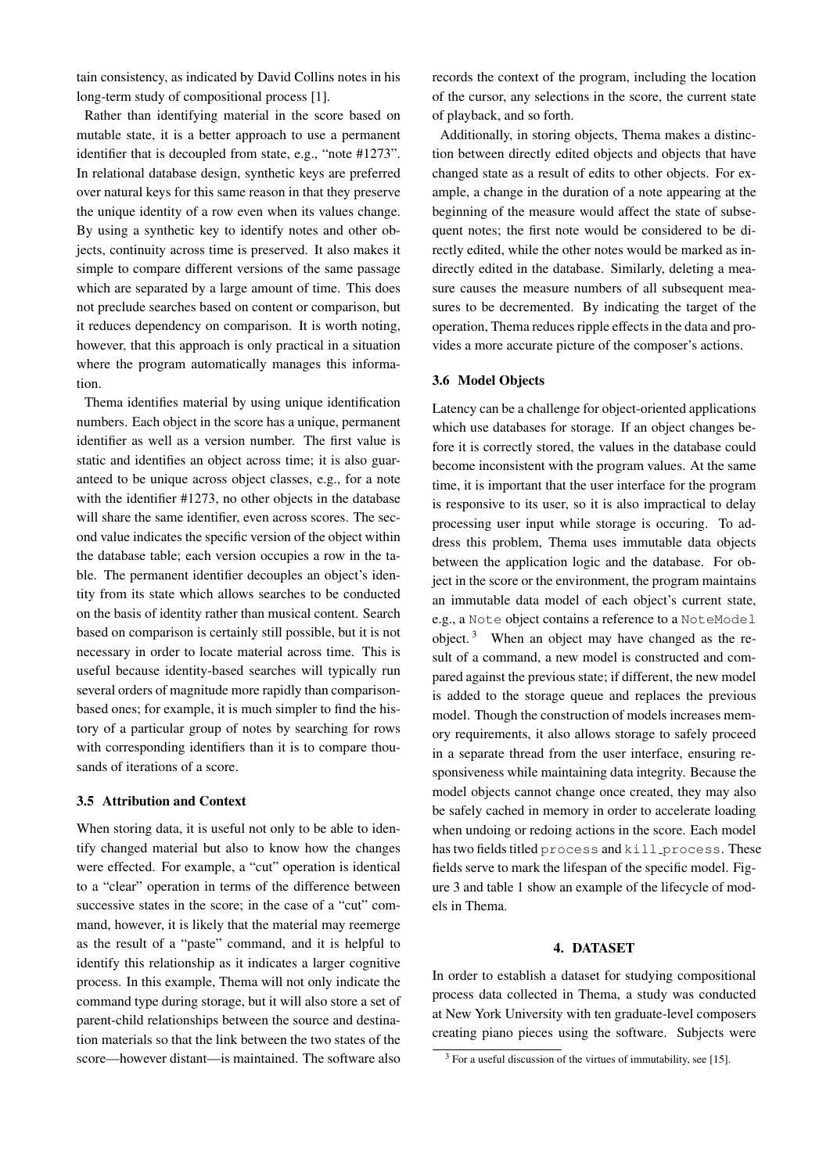tain consistency, as indicated by David Collins notes in his long-term study of compositional process [\[1\]](#page-5-0).

Rather than identifying material in the score based on mutable state, it is a better approach to use a permanent identifier that is decoupled from state, e.g., "note #1273". In relational database design, synthetic keys are preferred over natural keys for this same reason in that they preserve the unique identity of a row even when its values change. By using a synthetic key to identify notes and other objects, continuity across time is preserved. It also makes it simple to compare different versions of the same passage which are separated by a large amount of time. This does not preclude searches based on content or comparison, but it reduces dependency on comparison. It is worth noting, however, that this approach is only practical in a situation where the program automatically manages this information.

Thema identifies material by using unique identification numbers. Each object in the score has a unique, permanent identifier as well as a version number. The first value is static and identifies an object across time; it is also guaranteed to be unique across object classes, e.g., for a note with the identifier #1273, no other objects in the database will share the same identifier, even across scores. The second value indicates the specific version of the object within the database table; each version occupies a row in the table. The permanent identifier decouples an object's identity from its state which allows searches to be conducted on the basis of identity rather than musical content. Search based on comparison is certainly still possible, but it is not necessary in order to locate material across time. This is useful because identity-based searches will typically run several orders of magnitude more rapidly than comparisonbased ones; for example, it is much simpler to find the history of a particular group of notes by searching for rows with corresponding identifiers than it is to compare thousands of iterations of a score.

### 3.5 Attribution and Context

When storing data, it is useful not only to be able to identify changed material but also to know how the changes were effected. For example, a "cut" operation is identical to a "clear" operation in terms of the difference between successive states in the score; in the case of a "cut" command, however, it is likely that the material may reemerge as the result of a "paste" command, and it is helpful to identify this relationship as it indicates a larger cognitive process. In this example, Thema will not only indicate the command type during storage, but it will also store a set of parent-child relationships between the source and destination materials so that the link between the two states of the score—however distant—is maintained. The software also

records the context of the program, including the location of the cursor, any selections in the score, the current state of playback, and so forth.

Additionally, in storing objects, Thema makes a distinction between directly edited objects and objects that have changed state as a result of edits to other objects. For example, a change in the duration of a note appearing at the beginning of the measure would affect the state of subsequent notes; the first note would be considered to be directly edited, while the other notes would be marked as indirectly edited in the database. Similarly, deleting a measure causes the measure numbers of all subsequent measures to be decremented. By indicating the target of the operation, Thema reduces ripple effects in the data and provides a more accurate picture of the composer's actions.

#### 3.6 Model Objects

Latency can be a challenge for object-oriented applications which use databases for storage. If an object changes before it is correctly stored, the values in the database could become inconsistent with the program values. At the same time, it is important that the user interface for the program is responsive to its user, so it is also impractical to delay processing user input while storage is occuring. To address this problem, Thema uses immutable data objects between the application logic and the database. For object in the score or the environment, the program maintains an immutable data model of each object's current state, e.g., a Note object contains a reference to a NoteModel object.<sup>[3](#page-3-0)</sup> When an object may have changed as the result of a command, a new model is constructed and compared against the previous state; if different, the new model is added to the storage queue and replaces the previous model. Though the construction of models increases memory requirements, it also allows storage to safely proceed in a separate thread from the user interface, ensuring responsiveness while maintaining data integrity. Because the model objects cannot change once created, they may also be safely cached in memory in order to accelerate loading when undoing or redoing actions in the score. Each model has two fields titled process and kill process. These fields serve to mark the lifespan of the specific model. Figure [3](#page-4-0) and table [1](#page-4-1) show an example of the lifecycle of models in Thema.

#### 4. DATASET

In order to establish a dataset for studying compositional process data collected in Thema, a study was conducted at New York University with ten graduate-level composers creating piano pieces using the software. Subjects were

<span id="page-3-0"></span> $3$  For a useful discussion of the virtues of immutability, see [\[15\]](#page-6-1).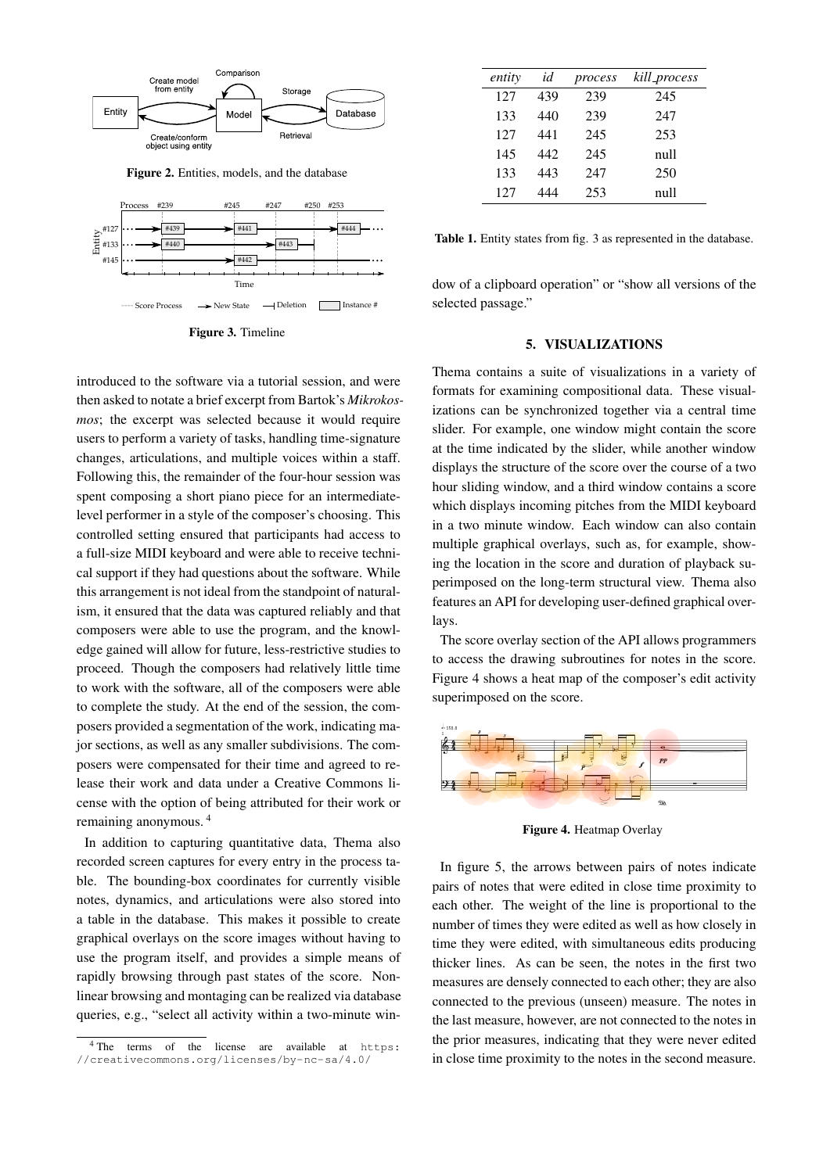

Figure 2. Entities, models, and the database

<span id="page-4-0"></span>

Figure 3. Timeline

introduced to the software via a tutorial session, and were then asked to notate a brief excerpt from Bartok's *Mikrokosmos*; the excerpt was selected because it would require users to perform a variety of tasks, handling time-signature changes, articulations, and multiple voices within a staff. Following this, the remainder of the four-hour session was spent composing a short piano piece for an intermediatelevel performer in a style of the composer's choosing. This controlled setting ensured that participants had access to a full-size MIDI keyboard and were able to receive technical support if they had questions about the software. While this arrangement is not ideal from the standpoint of naturalism, it ensured that the data was captured reliably and that composers were able to use the program, and the knowledge gained will allow for future, less-restrictive studies to proceed. Though the composers had relatively little time to work with the software, all of the composers were able to complete the study. At the end of the session, the composers provided a segmentation of the work, indicating major sections, as well as any smaller subdivisions. The composers were compensated for their time and agreed to release their work and data under a Creative Commons license with the option of being attributed for their work or remaining anonymous. [4](#page-4-2)

In addition to capturing quantitative data, Thema also recorded screen captures for every entry in the process table. The bounding-box coordinates for currently visible notes, dynamics, and articulations were also stored into a table in the database. This makes it possible to create graphical overlays on the score images without having to use the program itself, and provides a simple means of rapidly browsing through past states of the score. Nonlinear browsing and montaging can be realized via database queries, e.g., "select all activity within a two-minute win-

<span id="page-4-1"></span>

| entity | id  | process | kill_process |
|--------|-----|---------|--------------|
| 127    | 439 | 239     | 245          |
| 133    | 440 | 239     | 247          |
| 127    | 441 | 245     | 253          |
| 145    | 442 | 245     | nu11         |
| 133    | 443 | 247     | 250          |
| 127    | 444 | 253     | null         |

Table 1. Entity states from fig. [3](#page-4-0) as represented in the database.

dow of a clipboard operation" or "show all versions of the selected passage."

## 5. VISUALIZATIONS

Thema contains a suite of visualizations in a variety of formats for examining compositional data. These visualizations can be synchronized together via a central time slider. For example, one window might contain the score at the time indicated by the slider, while another window displays the structure of the score over the course of a two hour sliding window, and a third window contains a score which displays incoming pitches from the MIDI keyboard in a two minute window. Each window can also contain multiple graphical overlays, such as, for example, showing the location in the score and duration of playback superimposed on the long-term structural view. Thema also features an API for developing user-defined graphical overlays.

The score overlay section of the API allows programmers to access the drawing subroutines for notes in the score. Figure [4](#page-4-3) shows a heat map of the composer's edit activity superimposed on the score.

<span id="page-4-3"></span>

Figure 4. Heatmap Overlay

In figure [5,](#page-5-12) the arrows between pairs of notes indicate pairs of notes that were edited in close time proximity to each other. The weight of the line is proportional to the number of times they were edited as well as how closely in time they were edited, with simultaneous edits producing thicker lines. As can be seen, the notes in the first two measures are densely connected to each other; they are also connected to the previous (unseen) measure. The notes in the last measure, however, are not connected to the notes in the prior measures, indicating that they were never edited in close time proximity to the notes in the second measure.

<span id="page-4-2"></span><sup>4</sup> The terms of the license are available at [https:]( https://creativecommons.org/licenses/by-nc-sa/4.0/) [//creativecommons.org/licenses/by-nc-sa/4.0/]( https://creativecommons.org/licenses/by-nc-sa/4.0/)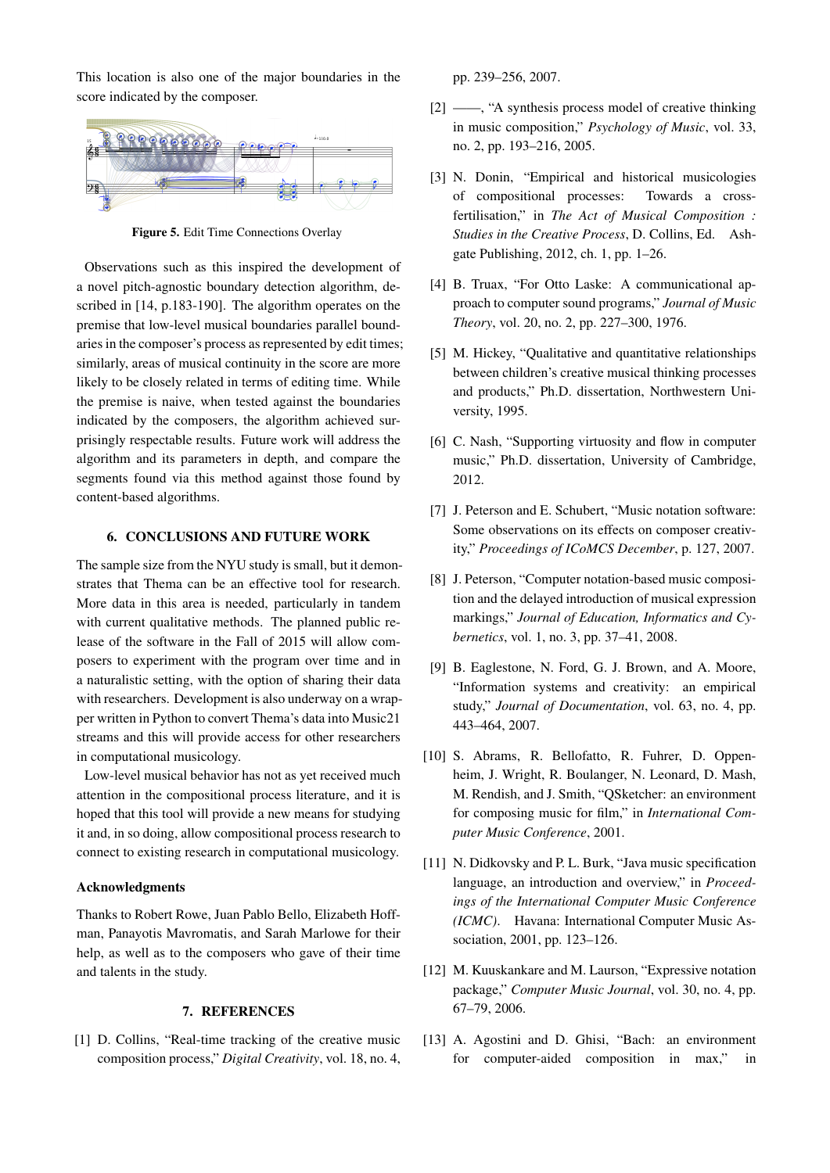<span id="page-5-12"></span>

This location is also one of the major boundaries in the

score indicated by the composer.

Figure 5. Edit Time Connections Overlay

Observations such as this inspired the development of a novel pitch-agnostic boundary detection algorithm, de-scribed in [\[14,](#page-6-0) p.183-190]. The algorithm operates on the premise that low-level musical boundaries parallel boundaries in the composer's process as represented by edit times; similarly, areas of musical continuity in the score are more likely to be closely related in terms of editing time. While the premise is naive, when tested against the boundaries indicated by the composers, the algorithm achieved surprisingly respectable results. Future work will address the algorithm and its parameters in depth, and compare the segments found via this method against those found by content-based algorithms.

## 6. CONCLUSIONS AND FUTURE WORK

The sample size from the NYU study is small, but it demonstrates that Thema can be an effective tool for research. More data in this area is needed, particularly in tandem with current qualitative methods. The planned public release of the software in the Fall of 2015 will allow composers to experiment with the program over time and in a naturalistic setting, with the option of sharing their data with researchers. Development is also underway on a wrapper written in Python to convert Thema's data into Music21 streams and this will provide access for other researchers in computational musicology.

Low-level musical behavior has not as yet received much attention in the compositional process literature, and it is hoped that this tool will provide a new means for studying it and, in so doing, allow compositional process research to connect to existing research in computational musicology.

#### Acknowledgments

Thanks to Robert Rowe, Juan Pablo Bello, Elizabeth Hoffman, Panayotis Mavromatis, and Sarah Marlowe for their help, as well as to the composers who gave of their time and talents in the study.

## 7. REFERENCES

<span id="page-5-0"></span>[1] D. Collins, "Real-time tracking of the creative music composition process," *Digital Creativity*, vol. 18, no. 4, pp. 239–256, 2007.

- <span id="page-5-5"></span>[2] ——, "A synthesis process model of creative thinking in music composition," *Psychology of Music*, vol. 33, no. 2, pp. 193–216, 2005.
- <span id="page-5-6"></span>[3] N. Donin, "Empirical and historical musicologies of compositional processes: Towards a crossfertilisation," in *The Act of Musical Composition : Studies in the Creative Process*, D. Collins, Ed. Ashgate Publishing, 2012, ch. 1, pp. 1–26.
- <span id="page-5-1"></span>[4] B. Truax, "For Otto Laske: A communicational approach to computer sound programs," *Journal of Music Theory*, vol. 20, no. 2, pp. 227–300, 1976.
- <span id="page-5-7"></span>[5] M. Hickey, "Qualitative and quantitative relationships between children's creative musical thinking processes and products," Ph.D. dissertation, Northwestern University, 1995.
- <span id="page-5-2"></span>[6] C. Nash, "Supporting virtuosity and flow in computer music," Ph.D. dissertation, University of Cambridge, 2012.
- <span id="page-5-3"></span>[7] J. Peterson and E. Schubert, "Music notation software: Some observations on its effects on composer creativity," *Proceedings of ICoMCS December*, p. 127, 2007.
- [8] J. Peterson, "Computer notation-based music composition and the delayed introduction of musical expression markings," *Journal of Education, Informatics and Cybernetics*, vol. 1, no. 3, pp. 37–41, 2008.
- <span id="page-5-4"></span>[9] B. Eaglestone, N. Ford, G. J. Brown, and A. Moore, "Information systems and creativity: an empirical study," *Journal of Documentation*, vol. 63, no. 4, pp. 443–464, 2007.
- <span id="page-5-8"></span>[10] S. Abrams, R. Bellofatto, R. Fuhrer, D. Oppenheim, J. Wright, R. Boulanger, N. Leonard, D. Mash, M. Rendish, and J. Smith, "QSketcher: an environment for composing music for film," in *International Computer Music Conference*, 2001.
- <span id="page-5-9"></span>[11] N. Didkovsky and P. L. Burk, "Java music specification" language, an introduction and overview," in *Proceedings of the International Computer Music Conference (ICMC)*. Havana: International Computer Music Association, 2001, pp. 123–126.
- <span id="page-5-10"></span>[12] M. Kuuskankare and M. Laurson, "Expressive notation" package," *Computer Music Journal*, vol. 30, no. 4, pp. 67–79, 2006.
- <span id="page-5-11"></span>[13] A. Agostini and D. Ghisi, "Bach: an environment for computer-aided composition in max," in